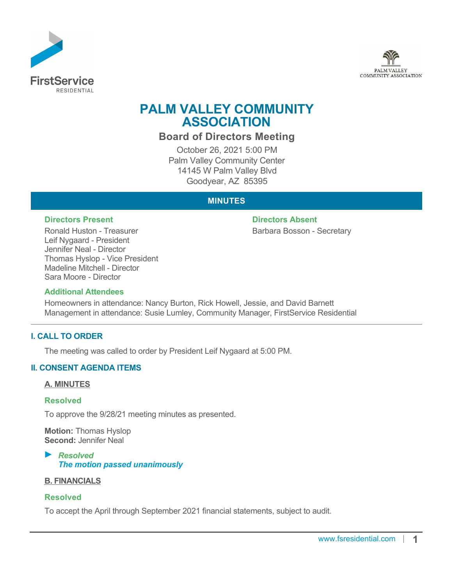



# **PALM VALLEY COMMUNITY ASSOCIATION**

# **Board of Directors Meeting**

October 26, 2021 5:00 PM Palm Valley Community Center 14145 W Palm Valley Blvd Goodyear, AZ 85395

# **MINUTES**

Ronald Huston - Treasurer Leif Nygaard - President Jennifer Neal - Director Thomas Hyslop - Vice President Madeline Mitchell - Director Sara Moore - Director

**Directors Present Directors Absent**

Barbara Bosson - Secretary

#### **Additional Attendees**

Homeowners in attendance: Nancy Burton, Rick Howell, Jessie, and David Barnett Management in attendance: Susie Lumley, Community Manager, FirstService Residential

# **I. CALL TO ORDER**

The meeting was called to order by President Leif Nygaard at 5:00 PM.

# **II. CONSENT AGENDA ITEMS**

#### **A. MINUTES**

#### **Resolved**

To approve the 9/28/21 meeting minutes as presented.

**Motion:** Thomas Hyslop **Second:** Jennifer Neal

*Resolved The motion passed unanimously*

#### **B. FINANCIALS**

#### **Resolved**

To accept the April through September 2021 financial statements, subject to audit.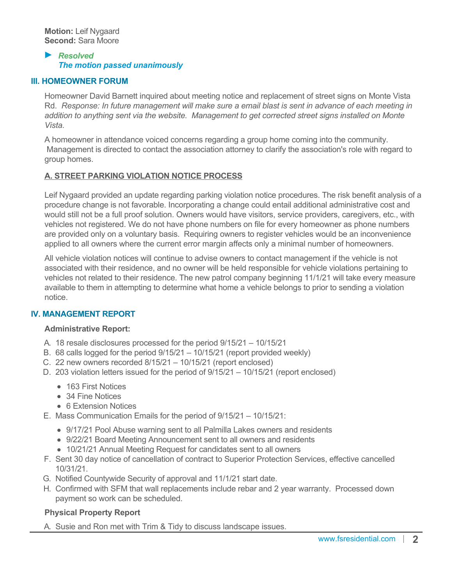#### *Resolved The motion passed unanimously*

#### **III. HOMEOWNER FORUM**

Homeowner David Barnett inquired about meeting notice and replacement of street signs on Monte Vista Rd. *Response: In future management will make sure a email blast is sent in advance of each meeting in addition to anything sent via the website. Management to get corrected street signs installed on Monte Vista.*

A homeowner in attendance voiced concerns regarding a group home coming into the community. Management is directed to contact the association attorney to clarify the association's role with regard to group homes.

#### **A. STREET PARKING VIOLATION NOTICE PROCESS**

Leif Nygaard provided an update regarding parking violation notice procedures. The risk benefit analysis of a procedure change is not favorable. Incorporating a change could entail additional administrative cost and would still not be a full proof solution. Owners would have visitors, service providers, caregivers, etc., with vehicles not registered. We do not have phone numbers on file for every homeowner as phone numbers are provided only on a voluntary basis. Requiring owners to register vehicles would be an inconvenience applied to all owners where the current error margin affects only a minimal number of homeowners.

All vehicle violation notices will continue to advise owners to contact management if the vehicle is not associated with their residence, and no owner will be held responsible for vehicle violations pertaining to vehicles not related to their residence. The new patrol company beginning 11/1/21 will take every measure available to them in attempting to determine what home a vehicle belongs to prior to sending a violation notice.

# **IV. MANAGEMENT REPORT**

#### **Administrative Report:**

- A. 18 resale disclosures processed for the period 9/15/21 10/15/21
- B. 68 calls logged for the period 9/15/21 10/15/21 (report provided weekly)
- C. 22 new owners recorded 8/15/21 10/15/21 (report enclosed)
- D. 203 violation letters issued for the period of 9/15/21 10/15/21 (report enclosed)
	- 163 First Notices
	- 34 Fine Notices
	- 6 Extension Notices
- E. Mass Communication Emails for the period of 9/15/21 10/15/21:
	- 9/17/21 Pool Abuse warning sent to all Palmilla Lakes owners and residents
	- 9/22/21 Board Meeting Announcement sent to all owners and residents
	- 10/21/21 Annual Meeting Request for candidates sent to all owners
- F. Sent 30 day notice of cancellation of contract to Superior Protection Services, effective cancelled 10/31/21.
- G. Notified Countywide Security of approval and 11/1/21 start date.
- H. Confirmed with SFM that wall replacements include rebar and 2 year warranty. Processed down payment so work can be scheduled.

# **Physical Property Report**

A. Susie and Ron met with Trim & Tidy to discuss landscape issues.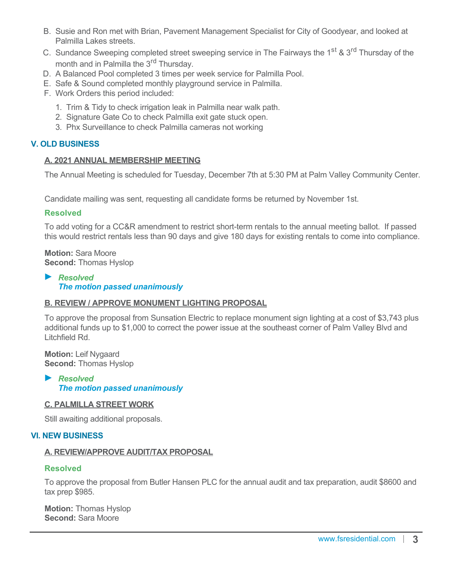- B. Susie and Ron met with Brian, Pavement Management Specialist for City of Goodyear, and looked at Palmilla Lakes streets.
- C. Sundance Sweeping completed street sweeping service in The Fairways the 1<sup>st</sup> & 3<sup>rd</sup> Thursday of the month and in Palmilla the 3<sup>rd</sup> Thursday.
- D. A Balanced Pool completed 3 times per week service for Palmilla Pool.
- E. Safe & Sound completed monthly playground service in Palmilla.
- F. Work Orders this period included:
	- 1. Trim & Tidy to check irrigation leak in Palmilla near walk path.
	- 2. Signature Gate Co to check Palmilla exit gate stuck open.
	- 3. Phx Surveillance to check Palmilla cameras not working

### **V. OLD BUSINESS**

#### **A. 2021 ANNUAL MEMBERSHIP MEETING**

The Annual Meeting is scheduled for Tuesday, December 7th at 5:30 PM at Palm Valley Community Center.

Candidate mailing was sent, requesting all candidate forms be returned by November 1st.

#### **Resolved**

To add voting for a CC&R amendment to restrict short-term rentals to the annual meeting ballot. If passed this would restrict rentals less than 90 days and give 180 days for existing rentals to come into compliance.

**Motion:** Sara Moore **Second:** Thomas Hyslop

#### *Resolved The motion passed unanimously*

# **B. REVIEW / APPROVE MONUMENT LIGHTING PROPOSAL**

To approve the proposal from Sunsation Electric to replace monument sign lighting at a cost of \$3,743 plus additional funds up to \$1,000 to correct the power issue at the southeast corner of Palm Valley Blvd and Litchfield Rd.

**Motion:** Leif Nygaard **Second:** Thomas Hyslop

# *Resolved The motion passed unanimously*

#### **C. PALMILLA STREET WORK**

Still awaiting additional proposals.

#### **VI. NEW BUSINESS**

#### **A. REVIEW/APPROVE AUDIT/TAX PROPOSAL**

#### **Resolved**

To approve the proposal from Butler Hansen PLC for the annual audit and tax preparation, audit \$8600 and tax prep \$985.

**Motion:** Thomas Hyslop **Second:** Sara Moore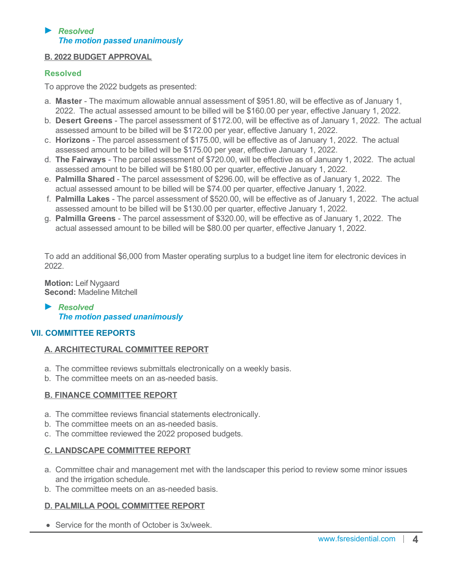### *Resolved The motion passed unanimously*

# **B. 2022 BUDGET APPROVAL**

# **Resolved**

To approve the 2022 budgets as presented:

- a. **Master** The maximum allowable annual assessment of \$951.80, will be effective as of January 1, 2022. The actual assessed amount to be billed will be \$160.00 per year, effective January 1, 2022.
- b. **Desert Greens** The parcel assessment of \$172.00, will be effective as of January 1, 2022. The actual assessed amount to be billed will be \$172.00 per year, effective January 1, 2022.
- c. **Horizons** The parcel assessment of \$175.00, will be effective as of January 1, 2022. The actual assessed amount to be billed will be \$175.00 per year, effective January 1, 2022.
- d. **The Fairways** The parcel assessment of \$720.00, will be effective as of January 1, 2022. The actual assessed amount to be billed will be \$180.00 per quarter, effective January 1, 2022.
- e. **Palmilla Shared** The parcel assessment of \$296.00, will be effective as of January 1, 2022. The actual assessed amount to be billed will be \$74.00 per quarter, effective January 1, 2022.
- f. **Palmilla Lakes** The parcel assessment of \$520.00, will be effective as of January 1, 2022. The actual assessed amount to be billed will be \$130.00 per quarter, effective January 1, 2022.
- g. **Palmilla Greens** The parcel assessment of \$320.00, will be effective as of January 1, 2022. The actual assessed amount to be billed will be \$80.00 per quarter, effective January 1, 2022.

To add an additional \$6,000 from Master operating surplus to a budget line item for electronic devices in 2022.

**Motion:** Leif Nygaard **Second:** Madeline Mitchell

#### *Resolved The motion passed unanimously*

# **VII. COMMITTEE REPORTS**

# **A. ARCHITECTURAL COMMITTEE REPORT**

- a. The committee reviews submittals electronically on a weekly basis.
- b. The committee meets on an as-needed basis.

# **B. FINANCE COMMITTEE REPORT**

- a. The committee reviews financial statements electronically.
- b. The committee meets on an as-needed basis.
- c. The committee reviewed the 2022 proposed budgets.

# **C. LANDSCAPE COMMITTEE REPORT**

- a. Committee chair and management met with the landscaper this period to review some minor issues and the irrigation schedule.
- b. The committee meets on an as-needed basis.

# **D. PALMILLA POOL COMMITTEE REPORT**

• Service for the month of October is  $3x/week$ .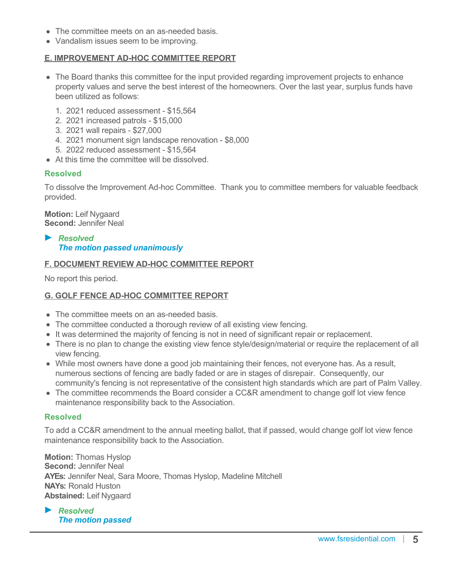- The committee meets on an as-needed basis.
- Vandalism issues seem to be improving.

# **E. IMPROVEMENT AD-HOC COMMITTEE REPORT**

- The Board thanks this committee for the input provided regarding improvement projects to enhance property values and serve the best interest of the homeowners. Over the last year, surplus funds have been utilized as follows:
	- 1. 2021 reduced assessment \$15,564
	- 2. 2021 increased patrols \$15,000
	- 3. 2021 wall repairs \$27,000
	- 4. 2021 monument sign landscape renovation \$8,000
	- 5. 2022 reduced assessment \$15,564
- At this time the committee will be dissolved

# **Resolved**

To dissolve the Improvement Ad-hoc Committee. Thank you to committee members for valuable feedback provided.

**Motion:** Leif Nygaard **Second:** Jennifer Neal

*Resolved The motion passed unanimously*

# **F. DOCUMENT REVIEW AD-HOC COMMITTEE REPORT**

No report this period.

# **G. GOLF FENCE AD-HOC COMMITTEE REPORT**

- The committee meets on an as-needed basis.
- The committee conducted a thorough review of all existing view fencing.
- It was determined the majority of fencing is not in need of significant repair or replacement.
- There is no plan to change the existing view fence style/design/material or require the replacement of all view fencing.
- While most owners have done a good job maintaining their fences, not everyone has. As a result, numerous sections of fencing are badly faded or are in stages of disrepair. Consequently, our community's fencing is not representative of the consistent high standards which are part of Palm Valley.
- The committee recommends the Board consider a CC&R amendment to change golf lot view fence maintenance responsibility back to the Association.

# **Resolved**

To add a CC&R amendment to the annual meeting ballot, that if passed, would change golf lot view fence maintenance responsibility back to the Association.

**Motion:** Thomas Hyslop **Second:** Jennifer Neal **AYEs:** Jennifer Neal, Sara Moore, Thomas Hyslop, Madeline Mitchell **NAYs:** Ronald Huston **Abstained:** Leif Nygaard

*Resolved The motion passed*